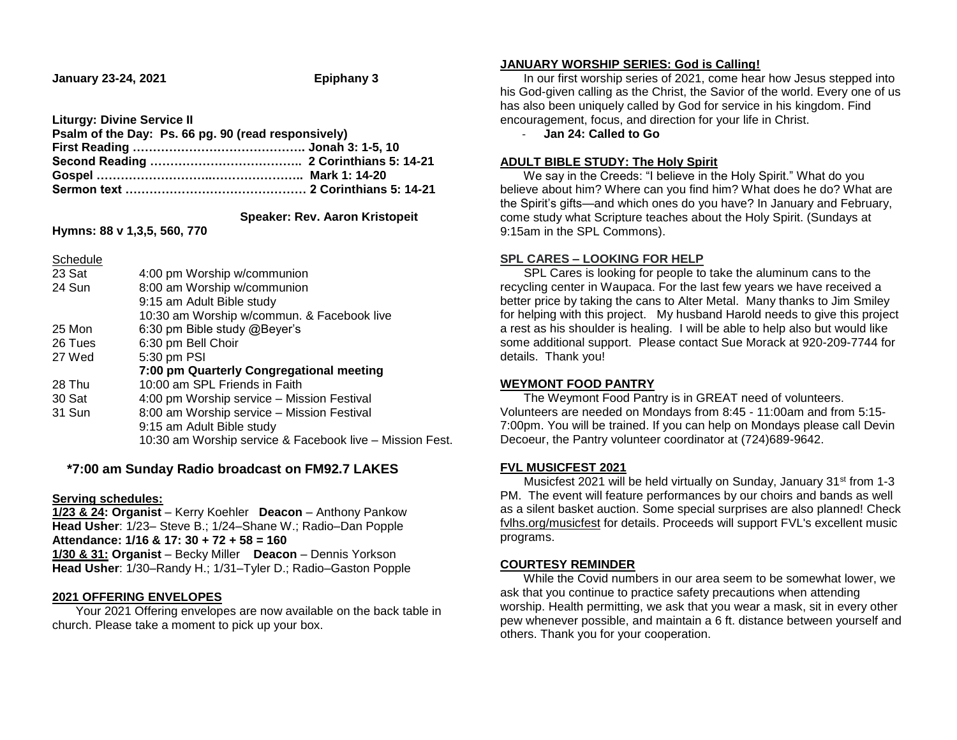**January 23-24, 2021 Epiphany 3**

**Liturgy: Divine Service II**

| Psalm of the Day: Ps. 66 pg. 90 (read responsively) |  |
|-----------------------------------------------------|--|
|                                                     |  |
|                                                     |  |
|                                                     |  |
|                                                     |  |
|                                                     |  |

 **Speaker: Rev. Aaron Kristopeit**

**Hymns: 88 v 1,3,5, 560, 770**

| Schedule |                                                          |
|----------|----------------------------------------------------------|
| 23 Sat   | 4:00 pm Worship w/communion                              |
| 24 Sun   | 8:00 am Worship w/communion                              |
|          | 9:15 am Adult Bible study                                |
|          | 10:30 am Worship w/commun. & Facebook live               |
| 25 Mon   | 6:30 pm Bible study @Beyer's                             |
| 26 Tues  | 6:30 pm Bell Choir                                       |
| 27 Wed   | 5:30 pm PSI                                              |
|          | 7:00 pm Quarterly Congregational meeting                 |
| 28 Thu   | 10:00 am SPL Friends in Faith                            |
| 30 Sat   | 4:00 pm Worship service - Mission Festival               |
| 31 Sun   | 8:00 am Worship service - Mission Festival               |
|          | 9:15 am Adult Bible study                                |
|          | 10:30 am Worship service & Facebook live - Mission Fest. |
|          |                                                          |

# **\*7:00 am Sunday Radio broadcast on FM92.7 LAKES**

#### **Serving schedules:**

**1/23 & 24: Organist** – Kerry Koehler **Deacon** – Anthony Pankow **Head Usher**: 1/23– Steve B.; 1/24–Shane W.; Radio–Dan Popple **Attendance: 1/16 & 17: 30 + 72 + 58 = 160 1/30 & 31: Organist** – Becky Miller **Deacon** – Dennis Yorkson **Head Usher**: 1/30–Randy H.; 1/31–Tyler D.; Radio–Gaston Popple

## **2021 OFFERING ENVELOPES**

 Your 2021 Offering envelopes are now available on the back table in church. Please take a moment to pick up your box.

# **JANUARY WORSHIP SERIES: God is Calling!**

 In our first worship series of 2021, come hear how Jesus stepped into his God-given calling as the Christ, the Savior of the world. Every one of us has also been uniquely called by God for service in his kingdom. Find encouragement, focus, and direction for your life in Christ.

- **Jan 24: Called to Go**

#### **ADULT BIBLE STUDY: The Holy Spirit**

 We say in the Creeds: "I believe in the Holy Spirit." What do you believe about him? Where can you find him? What does he do? What are the Spirit's gifts—and which ones do you have? In January and February, come study what Scripture teaches about the Holy Spirit. (Sundays at 9:15am in the SPL Commons).

## **SPL CARES – LOOKING FOR HELP**

 SPL Cares is looking for people to take the aluminum cans to the recycling center in Waupaca. For the last few years we have received a better price by taking the cans to Alter Metal. Many thanks to Jim Smiley for helping with this project. My husband Harold needs to give this project a rest as his shoulder is healing. I will be able to help also but would like some additional support. Please contact Sue Morack at 920-209-7744 for details. Thank you!

## **WEYMONT FOOD PANTRY**

 The Weymont Food Pantry is in GREAT need of volunteers. Volunteers are needed on Mondays from 8:45 - 11:00am and from 5:15- 7:00pm. You will be trained. If you can help on Mondays please call Devin Decoeur, the Pantry volunteer coordinator at (724)689-9642.

## **FVL MUSICFEST 2021**

Musicfest 2021 will be held virtually on Sunday, January 31<sup>st</sup> from 1-3 PM. The event will feature performances by our choirs and bands as well as a silent basket auction. Some special surprises are also planned! Check [fvlhs.org/musicfest](https://linkprotect.cudasvc.com/url?a=http%3a%2f%2femail.fvlhsorg.myenotice.com%2fc%2feJwdjkFuxCAQBF9jjmgG8GIOHBJl9xsrFoONBNgyk6Dk9SGR-tKXqlqtDs4ZYMWlnOr2TKs1N5asAIGAMKOSCMCRLyjVXT3uH--zkRrEpCB-5b0d18bLd6gHJR-4PwrbrVpeq1c6xqijw9sSXxLReDd7ARK9YdnuROck3ybxGOu9838YH7Txy2dLPoZGzB-VnKe_LARt2GUbP6-Uc0_0MxLamXvYHK-BGNlhL-1ZXHVbuH4BNbFGBQ&c=E,1,fXnZt_iDF1LVT8h84JTkFJvTu0eeisWSJdgkFjLd8RvEkpt9PFYO3oE2IzOFZShvlOnDt1WnXkwP2yepzYvXLgk7dnlCprcnWm-YweUHpb-PDqu8wKrYnw,,&typo=1) for details. Proceeds will support FVL's excellent music programs.

## **COURTESY REMINDER**

 While the Covid numbers in our area seem to be somewhat lower, we ask that you continue to practice safety precautions when attending worship. Health permitting, we ask that you wear a mask, sit in every other pew whenever possible, and maintain a 6 ft. distance between yourself and others. Thank you for your cooperation.